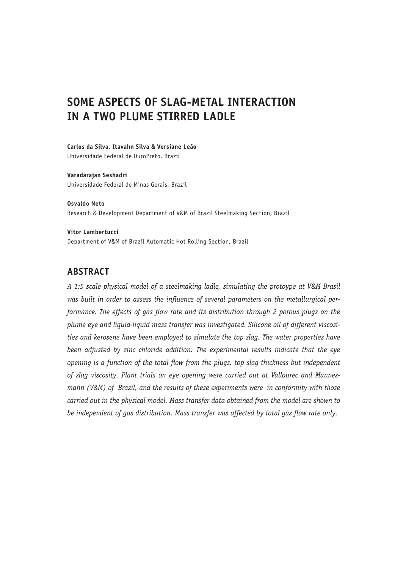# **SOME ASPECTS OF SLAG-METAL INTERACTION IN A TWO PLUME STIRRED LADLE**

**Carlos da Silva, Itavahn Silva & Versiane Leão** Universidade Federal de OuroPreto, Brazil

**Varadarajan Seshadri** Universidade Federal de Minas Gerais, Brazil

**Osvaldo Neto** Research & Development Department of V&M of Brazil Steelmaking Section, Brazil

**Vitor Lambertucci** Department of V&M of Brazil Automatic Hot Rolling Section, Brazil

# **ABSTRACT**

*A 1:5 scale physical model of a steelmaking ladle, simulating the protoype at V&M Brasil was built in order to assess the influence of several parameters on the metallurgical performance. The effects of gas flow rate and its distribution through 2 porous plugs on the plume eye and liquid-liquid mass transfer was investigated. Silicone oil of different viscosities and kerosene have been employed to simulate the top slag. The water properties have been adjusted by zinc chloride addition. The experimental results indicate that the eye opening is a function of the total flow from the plugs, top slag thickness but independent of slag viscosity. Plant trials on eye opening were carried out at Vallourec and Mannesmann (V&M) of Brazil, and the results of these experiments were in conformity with those carried out in the physical model. Mass transfer data obtained from the model are shown to be independent of gas distribution. Mass transfer was affected by total gas flow rate only.*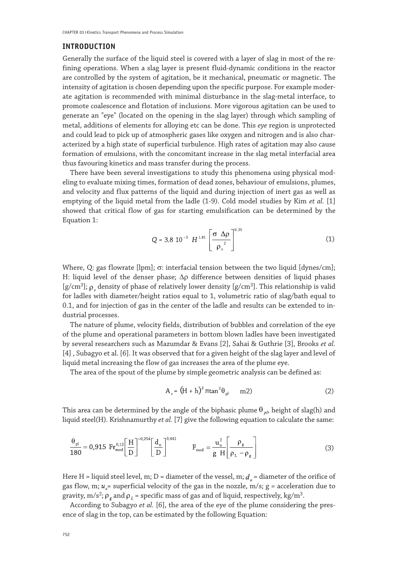#### **INTRODUCTION**

Generally the surface of the liquid steel is covered with a layer of slag in most of the refining operations. When a slag layer is present fluid-dynamic conditions in the reactor are controlled by the system of agitation, be it mechanical, pneumatic or magnetic. The intensity of agitation is chosen depending upon the specific purpose. For example moderate agitation is recommended with minimal disturbance in the slag-metal interface, to promote coalescence and flotation of inclusions. More vigorous agitation can be used to generate an "eye" (located on the opening in the slag layer) through which sampling of metal, additions of elements for alloying etc can be done. This *eye* region is unprotected and could lead to pick up of atmospheric gases like oxygen and nitrogen and is also characterized by a high state of superficial turbulence. High rates of agitation may also cause formation of emulsions, with the concomitant increase in the slag metal interfacial area thus favouring kinetics and mass transfer during the process.

There have been several investigations to study this phenomena using physical modeling to evaluate mixing times, formation of dead zones, behaviour of emulsions, plumes, and velocity and flux patterns of the liquid and during injection of inert gas as well as emptying of the liquid metal from the ladle (1-9). Cold model studies by Kim *et al.* [1] showed that critical flow of gas for starting emulsification can be determined by the Equation 1:

$$
Q = 3.8 \, 10^{-3} \, H^{1.81} \left[ \frac{\sigma \, \Delta \rho}{\rho_s^2} \right]^{0.35} \tag{1}
$$

Where, Q: gas flowrate [lpm]; σ: interfacial tension between the two liquid [dynes/cm]; H: liquid level of the denser phase; ∆ρ difference between densities of liquid phases [g/cm<sup>3</sup>];  $\rho_{\mu}$  density of phase of relatively lower density [g/cm<sup>3</sup>]. This relationship is valid for ladles with diameter/height ratios equal to 1, volumetric ratio of slag/bath equal to 0.1, and for injection of gas in the center of the ladle and results can be extended to industrial processes.

The nature of plume, velocity fields, distribution of bubbles and correlation of the eye of the plume and operational parameters in bottom blown ladles have been investigated by several researchers such as Mazumdar & Evans [2], Sahai & Guthrie [3], Brooks *et al.* [4] , Subagyo et al. [6]. It was observed that for a given height of the slag layer and level of liquid metal increasing the flow of gas increases the area of the plume eye.

The area of the spout of the plume by simple geometric analysis can be defined as:

$$
A_s = (H + h)^2 \pi \tan^2 \theta_{pl} \qquad m2)
$$
 (2)

This area can be determined by the angle of the biphasic plume  $\theta_{p}$ , height of slag(h) and liquid steel(H). Krishnamurthy *et al.* [7] give the following equation to calculate the same:

$$
\frac{\theta_{\rm pl}}{180} = 0,915 \ \text{Fr}_{\rm mod}^{0,12} \left[ \frac{\text{H}}{\text{D}} \right]^{-0,254} \left[ \frac{\text{d}_{\rm o}}{\text{D}} \right]^{0,441} \qquad \qquad F_{\rm mod} = \frac{u_{\rm o}^2}{g \ \text{H}} \left[ \frac{\rho_{\rm g}}{\rho_{\rm L} - \rho_{\rm g}} \right] \tag{3}
$$

Here H = liquid steel level, m; D = diameter of the vessel, m;  $d<sub>a</sub>$  = diameter of the orifice of gas flow, m;  $u_{\alpha}$  = superficial velocity of the gas in the nozzle, m/s; g = acceleration due to gravity,  $m/s^2$ ;  $\rho_a$  and  $\rho_l$  = specific mass of gas and of liquid, respectively, kg/m<sup>3</sup>.

According to Subagyo *et al.* [6], the area of the eye of the plume considering the presence of slag in the top, can be estimated by the following Equation: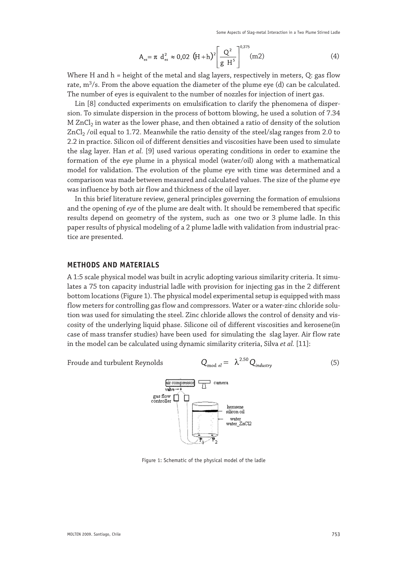Some Aspects of Slag-metal Interaction in a Two Plume Stirred Ladle

$$
A_{es} = \pi d_{es}^2 \approx 0.02 \text{ (H+h)}^2 \left[ \frac{Q^2}{g H^5} \right]^{0.375} \text{(m2)}
$$
 (4)

Where H and  $h =$  height of the metal and slag layers, respectively in meters, Q: gas flow rate,  $m^3/s$ . From the above equation the diameter of the plume eye (d) can be calculated. The number of eyes is equivalent to the number of nozzles for injection of inert gas.

Lin [8] conducted experiments on emulsification to clarify the phenomena of dispersion. To simulate dispersion in the process of bottom blowing, he used a solution of 7.34 M ZnCl<sub>2</sub> in water as the lower phase, and then obtained a ratio of density of the solution  $ZnCl<sub>2</sub>$  /oil equal to 1.72. Meanwhile the ratio density of the steel/slag ranges from 2.0 to 2.2 in practice. Silicon oil of different densities and viscosities have been used to simulate the slag layer. Han *et al.* [9] used various operating conditions in order to examine the formation of the eye plume in a physical model (water/oil) along with a mathematical model for validation. The evolution of the plume eye with time was determined and a comparison was made between measured and calculated values. The size of the plume eye was influence by both air flow and thickness of the oil layer.

In this brief literature review, general principles governing the formation of emulsions and the opening of *eye* of the plume are dealt with. It should be remembered that specific results depend on geometry of the system, such as one two or 3 plume ladle. In this paper results of physical modeling of a 2 plume ladle with validation from industrial practice are presented.

#### **METHODS AND MATERIALS**

A 1:5 scale physical model was built in acrylic adopting various similarity criteria. It simulates a 75 ton capacity industrial ladle with provision for injecting gas in the 2 different bottom locations (Figure 1). The physical model experimental setup is equipped with mass flow meters for controlling gas flow and compressors. Water or a water-zinc chloride solution was used for simulating the steel. Zinc chloride allows the control of density and viscosity of the underlying liquid phase. Silicone oil of different viscosities and kerosene(in case of mass transfer studies) have been used for simulating the slag layer. Air flow rate in the model can be calculated using dynamic similarity criteria, Silva *et al.* [11]:

Froude and turbulent Reynolds G.

$$
C_{\text{mod }el} = \lambda^{2.50} Q_{\text{industry}} \tag{5}
$$



Figure 1: Schematic of the physical model of the ladle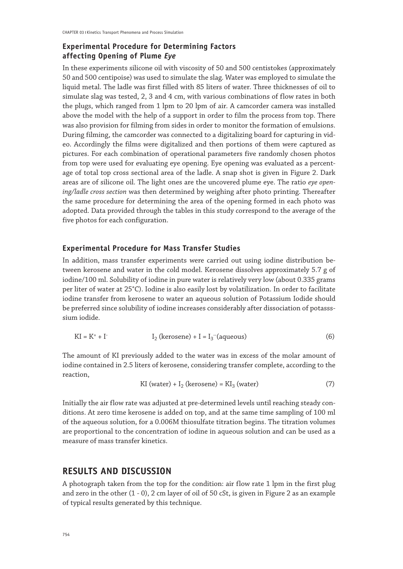# **Experimental Procedure for Determining Factors affecting Opening of Plume** *Eye*

In these experiments silicone oil with viscosity of 50 and 500 centistokes (approximately 50 and 500 centipoise) was used to simulate the slag. Water was employed to simulate the liquid metal. The ladle was first filled with 85 liters of water. Three thicknesses of oil to simulate slag was tested, 2, 3 and 4 cm, with various combinations of flow rates in both the plugs, which ranged from 1 lpm to 20 lpm of air. A camcorder camera was installed above the model with the help of a support in order to film the process from top. There was also provision for filming from sides in order to monitor the formation of emulsions. During filming, the camcorder was connected to a digitalizing board for capturing in video. Accordingly the films were digitalized and then portions of them were captured as pictures. For each combination of operational parameters five randomly chosen photos from top were used for evaluating eye opening. Eye opening was evaluated as a percentage of total top cross sectional area of the ladle. A snap shot is given in Figure 2. Dark areas are of silicone oil. The light ones are the uncovered plume eye. The ratio *eye opening/ladle cross section* was then determined by weighing after photo printing. Thereafter the same procedure for determining the area of the opening formed in each photo was adopted. Data provided through the tables in this study correspond to the average of the five photos for each configuration.

#### **Experimental Procedure for Mass Transfer Studies**

In addition, mass transfer experiments were carried out using iodine distribution between kerosene and water in the cold model. Kerosene dissolves approximately 5.7 g of iodine/100 ml. Solubility of iodine in pure water is relatively very low (about 0.335 grams per liter of water at 25°C). Iodine is also easily lost by volatilization. In order to facilitate iodine transfer from kerosene to water an aqueous solution of Potassium Iodide should be preferred since solubility of iodine increases considerably after dissociation of potassssium iodide.

$$
KI = K^+ + I^ I_2
$$
 (kerosene) +  $I = I_3$  (aqueous) (6)

The amount of KI previously added to the water was in excess of the molar amount of iodine contained in 2.5 liters of kerosene, considering transfer complete, according to the reaction,

$$
KI (water) + I_2 (kerosene) = KI_3 (water)
$$
 (7)

Initially the air flow rate was adjusted at pre-determined levels until reaching steady conditions. At zero time kerosene is added on top, and at the same time sampling of 100 ml of the aqueous solution, for a 0.006M thiosulfate titration begins. The titration volumes are proportional to the concentration of iodine in aqueous solution and can be used as a measure of mass transfer kinetics.

# **RESULTS AND DISCUSSION**

A photograph taken from the top for the condition: air flow rate 1 lpm in the first plug and zero in the other (1 - 0), 2 cm layer of oil of 50 cSt, is given in Figure 2 as an example of typical results generated by this technique.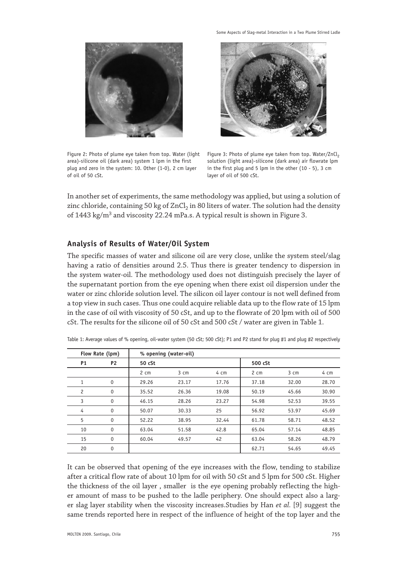

Some Aspects of Slag-metal Interaction in a Two Plume Stirred Ladle



Figure 2: Photo of plume eye taken from top. Water (light area)-silicone oil (dark area) system 1 lpm in the first plug and zero in the system: 10. Other (1-0), 2 cm layer of oil of 50 cSt.

Figure 3: Photo of plume eye taken from top. Water/ZnCl<sub>2</sub> solution (light area)-silicone (dark area) air flowrate lpm in the first plug and 5 lpm in the other (10 - 5), 3 cm layer of oil of 500 cSt.

In another set of experiments, the same methodology was applied, but using a solution of zinc chloride, containing 50 kg of  $ZnCl<sub>2</sub>$  in 80 liters of water. The solution had the density of 1443 kg/m<sup>3</sup> and viscosity 22.24 mPa.s. A typical result is shown in Figure 3.

#### **Analysis of Results of Water/Oil System**

The specific masses of water and silicone oil are very close, unlike the system steel/slag having a ratio of densities around 2.5. Thus there is greater tendency to dispersion in the system water-oil. The methodology used does not distinguish precisely the layer of the supernatant portion from the eye opening when there exist oil dispersion under the water or zinc chloride solution level. The silicon oil layer contour is not well defined from a top view in such cases. Thus one could acquire reliable data up to the flow rate of 15 lpm in the case of oil with viscosity of 50 cSt, and up to the flowrate of 20 lpm with oil of 500 cSt. The results for the silicone oil of 50 cSt and 500 cSt / water are given in Table 1.

| Flow Rate (lpm) |                |        | % opening (water-oil) |       |         |       |       |
|-----------------|----------------|--------|-----------------------|-------|---------|-------|-------|
| P <sub>1</sub>  | P <sub>2</sub> | 50 cSt |                       |       | 500 cSt |       |       |
|                 |                | 2 cm   | 3 cm                  | 4 cm  | 2 cm    | 3 cm  | 4 cm  |
| 1               | 0              | 29.26  | 23.17                 | 17.76 | 37.18   | 32.00 | 28.70 |
| 2               | 0              | 35.52  | 26.36                 | 19.08 | 50.19   | 45.66 | 30.90 |
| 3               | 0              | 46.15  | 28.26                 | 23.27 | 54.98   | 52.53 | 39.55 |
| 4               | $\mathbf{0}$   | 50.07  | 30.33                 | 25    | 56.92   | 53.97 | 45.69 |
| 5               | $\mathbf{0}$   | 52.22  | 38.95                 | 32.44 | 61.78   | 58.71 | 48.52 |
| 10              | $\mathbf{0}$   | 63.04  | 51.58                 | 42.8  | 65.04   | 57.14 | 48.85 |
| 15              | $\mathbf{0}$   | 60.04  | 49.57                 | 42    | 63.04   | 58.26 | 48.79 |
| 20              | $\mathbf{0}$   |        |                       |       | 62.71   | 54.65 | 49.45 |

Table 1: Average values of % opening, oil-water system (50 cSt; 500 cSt); P1 and P2 stand for plug #1 and plug #2 respectively

It can be observed that opening of the eye increases with the flow, tending to stabilize after a critical flow rate of about 10 lpm for oil with 50 cSt and 5 lpm for 500 cSt. Higher the thickness of the oil layer , smaller is the eye opening probably reflecting the higher amount of mass to be pushed to the ladle periphery. One should expect also a larger slag layer stability when the viscosity increases.Studies by Han *et al.* [9] suggest the same trends reported here in respect of the influence of height of the top layer and the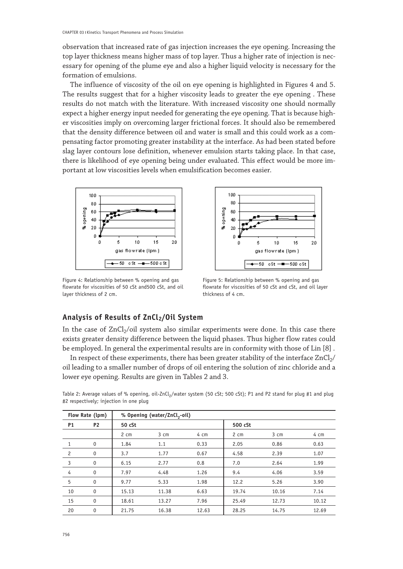observation that increased rate of gas injection increases the eye opening. Increasing the top layer thickness means higher mass of top layer. Thus a higher rate of injection is necessary for opening of the plume eye and also a higher liquid velocity is necessary for the formation of emulsions.

The influence of viscosity of the oil on eye opening is highlighted in Figures 4 and 5. The results suggest that for a higher viscosity leads to greater the eye opening . These results do not match with the literature. With increased viscosity one should normally expect a higher energy input needed for generating the eye opening. That is because higher viscosities imply on overcoming larger frictional forces. It should also be remembered that the density difference between oil and water is small and this could work as a compensating factor promoting greater instability at the interface. As had been stated before slag layer contours lose definition, whenever emulsion starts taking place. In that case, there is likelihood of eye opening being under evaluated. This effect would be more important at low viscosities levels when emulsification becomes easier.



Figure 4: Relationship between % opening and gas flowrate for viscosities of 50 cSt and500 cSt, and oil layer thickness of 2 cm.



Figure 5: Relationship between % opening and gas flowrate for viscosities of 50 cSt and cSt, and oil layer thickness of 4 cm.

### **Analysis of Results of ZnCl2/Oil System**

In the case of  $ZnCl<sub>2</sub>/oil$  system also similar experiments were done. In this case there exists greater density difference between the liquid phases. Thus higher flow rates could be employed. In general the experimental results are in conformity with those of Lin [8] .

In respect of these experiments, there has been greater stability of the interface  $ZnCl<sub>2</sub>/$ oil leading to a smaller number of drops of oil entering the solution of zinc chloride and a lower eye opening. Results are given in Tables 2 and 3.

| Flow Rate (lpm) |              | % Opening (water/ZnCl <sub>2</sub> -oil) |       |       |         |       |       |  |  |  |
|-----------------|--------------|------------------------------------------|-------|-------|---------|-------|-------|--|--|--|
| <b>P1</b>       | <b>P2</b>    | 50 cSt                                   |       |       | 500 cSt |       |       |  |  |  |
|                 |              | 2 cm                                     | 3 cm  | 4 cm  | 2 cm    | 3 cm  | 4 cm  |  |  |  |
| 1               | 0            | 1.84                                     | 1.1   | 0.33  | 2.05    | 0.86  | 0.63  |  |  |  |
| $\overline{c}$  | 0            | 3.7                                      | 1.77  | 0.67  | 4.58    | 2.39  | 1.07  |  |  |  |
| $\overline{3}$  | $\mathbf{0}$ | 6.15                                     | 2.77  | 0.8   | 7.0     | 2.64  | 1.99  |  |  |  |
| $\overline{4}$  | 0            | 7.97                                     | 4.48  | 1.26  | 9.4     | 4.06  | 3.59  |  |  |  |
| 5               | 0            | 9.77                                     | 5.33  | 1.98  | 12.2    | 5.26  | 3.90  |  |  |  |
| 10              | $\mathbf{0}$ | 15.13                                    | 11.38 | 6.63  | 19.74   | 10.16 | 7.14  |  |  |  |
| 15              | 0            | 18.61                                    | 13.27 | 7.96  | 25.49   | 12.73 | 10.12 |  |  |  |
| 20              | $\mathbf{0}$ | 21.75                                    | 16.38 | 12.63 | 28.25   | 14.75 | 12.69 |  |  |  |

Table 2: Average values of % opening, oil-ZnCl<sub>2</sub>/water system (50 cSt; 500 cSt); P1 and P2 stand for plug #1 and plug #2 respectively; injection in one plug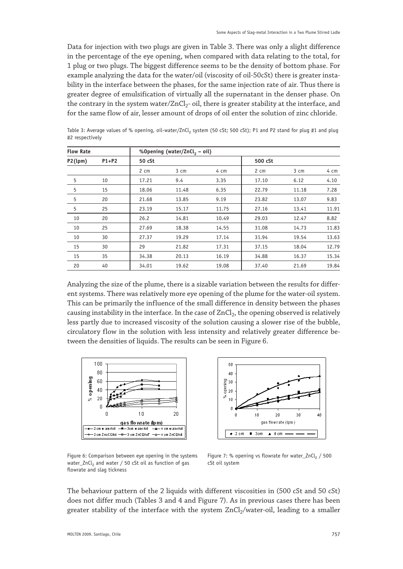Data for injection with two plugs are given in Table 3. There was only a slight difference in the percentage of the eye opening, when compared with data relating to the total, for 1 plug or two plugs. The biggest difference seems to be the density of bottom phase. For example analyzing the data for the water/oil (viscosity of oil-50cSt) there is greater instability in the interface between the phases, for the same injection rate of air. Thus there is greater degree of emulsification of virtually all the supernatant in the denser phase. On the contrary in the system water/ZnCl<sub>2</sub>- oil, there is greater stability at the interface, and for the same flow of air, lesser amount of drops of oil enter the solution of zinc chloride.

| <b>Flow Rate</b> |         |        | %Opening (water/ZnCl <sub>2</sub> - oil) |       |         |       |       |
|------------------|---------|--------|------------------------------------------|-------|---------|-------|-------|
| P2(lpm)          | $P1+P2$ | 50 cSt |                                          |       | 500 cSt |       |       |
|                  |         | 2 cm   | 3 cm                                     | 4 cm  | 2 cm    | 3 cm  | 4 cm  |
| 5                | 10      | 17.21  | 9.4                                      | 3.35  | 17.10   | 6.12  | 4.10  |
| 5                | 15      | 18.06  | 11.48                                    | 6.35  | 22.79   | 11.18 | 7.28  |
| 5                | 20      | 21.68  | 13.85                                    | 9.19  | 23.82   | 13.07 | 9.83  |
| 5                | 25      | 23.19  | 15.17                                    | 11.75 | 27.16   | 13.41 | 11.91 |
| 10               | 20      | 26.2   | 14.81                                    | 10.49 | 29.03   | 12.47 | 8.82  |
| 10               | 25      | 27.69  | 18.38                                    | 14.55 | 31.08   | 14.73 | 11.83 |
| 10               | 30      | 27.37  | 19.29                                    | 17.14 | 31.94   | 19.54 | 13.63 |
| 15               | 30      | 29     | 21.82                                    | 17.31 | 37.15   | 18.04 | 12.79 |
| 15               | 35      | 34.38  | 20.13                                    | 16.19 | 34.88   | 16.37 | 15.34 |
| 20               | 40      | 34.01  | 19.62                                    | 19.08 | 37.40   | 21.69 | 19.84 |

Table 3: Average values of % opening, oil-water/ZnCl, system (50 cSt; 500 cSt); P1 and P2 stand for plug #1 and plug #2 respectively

Analyzing the size of the plume, there is a sizable variation between the results for different systems. There was relatively more eye opening of the plume for the water-oil system. This can be primarily the influence of the small difference in density between the phases causing instability in the interface. In the case of  $ZnCl<sub>2</sub>$ , the opening observed is relatively less partly due to increased viscosity of the solution causing a slower rise of the bubble, circulatory flow in the solution with less intensity and relatively greater difference between the densities of liquids. The results can be seen in Figure 6.





Figure 6: Comparison between eye opening in the systems water ZnCl<sub>2</sub> and water / 50 cSt oil as function of gas flowrate and slag tickness

Figure 7: % opening vs flowrate for water ZnCl<sub>2</sub> / 500 cSt oil system

The behaviour pattern of the 2 liquids with different viscosities in (500 cSt and 50 cSt) does not differ much (Tables 3 and 4 and Figure 7). As in previous cases there has been greater stability of the interface with the system  $ZnCl<sub>2</sub>/water$ -oil, leading to a smaller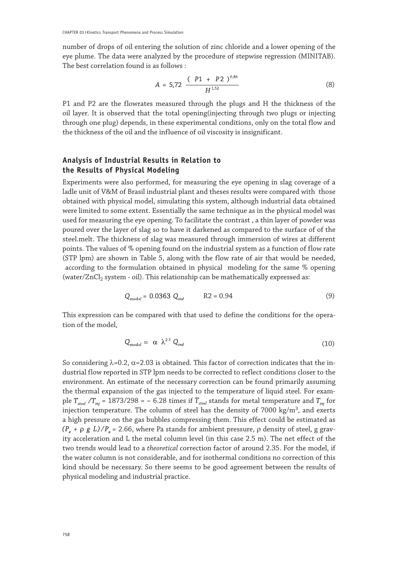number of drops of oil entering the solution of zinc chloride and a lower opening of the eye plume. The data were analyzed by the procedure of stepwise regression (MINITAB). The best correlation found is as follows :

$$
A = 5,72 \frac{(P1 + P2)^{0.86}}{H^{1.52}}
$$
 (8)

P1 and P2 are the flowrates measured through the plugs and H the thickness of the oil layer. It is observed that the total opening(injecting through two plugs or injecting through one plug) depends, in these experimental conditions, only on the total flow and the thickness of the oil and the influence of oil viscosity is insignificant.

## **Analysis of Industrial Results in Relation to the Results of Physical Modeling**

Experiments were also performed, for measuring the eye opening in slag coverage of a ladle unit of V&M of Brasil industrial plant and theses results were compared with those obtained with physical model, simulating this system, although industrial data obtained were limited to some extent. Essentially the same technique as in the physical model was used for measuring the eye opening. To facilitate the contrast , a thin layer of powder was poured over the layer of slag so to have it darkened as compared to the surface of of the steel.melt. The thickness of slag was measured through immersion of wires at different points. The values of % opening found on the industrial system as a function of flow rate (STP lpm) are shown in Table 5, along with the flow rate of air that would be needed, according to the formulation obtained in physical modeling for the same % opening (water/ $ZnCl<sub>2</sub>$  system - oil). This relationship can be mathematically expressed as:

$$
Q_{\text{model}} = 0.0363 \ Q_{\text{ind}} \qquad \text{R2} = 0.94 \tag{9}
$$

This expression can be compared with that used to define the conditions for the operation of the model,

$$
Q_{\text{model}} = \alpha \ \lambda^{2.5} \ Q_{\text{ind}} \tag{10}
$$

So considering  $\lambda$ =0.2,  $\alpha$ =2.03 is obtained. This factor of correction indicates that the industrial flow reported in STP lpm needs to be corrected to reflect conditions closer to the environment. An estimate of the necessary correction can be found primarily assuming the thermal expansion of the gas injected to the temperature of liquid steel. For example  $T_{\text{step}}/T_{\text{ini}}$  = 1873/298 = ~ 6.28 times if  $T_{\text{steel}}$  stands for metal temperature and  $T_{\text{ini}}$  for injection temperature. The column of steel has the density of 7000 kg/ $m<sup>3</sup>$ , and exerts a high pressure on the gas bubbles compressing them. This effect could be estimated as  $(P_a + \rho g L)/P_a = 2.66$ , where Pa stands for ambient pressure,  $\rho$  density of steel, g gravity acceleration and L the metal column level (in this case 2.5 m). The net effect of the two trends would lead to a *theoretical* correction factor of around 2.35. For the model, if the water column is not considerable, and for isothermal conditions no correction of this kind should be necessary. So there seems to be good agreement between the results of physical modeling and industrial practice.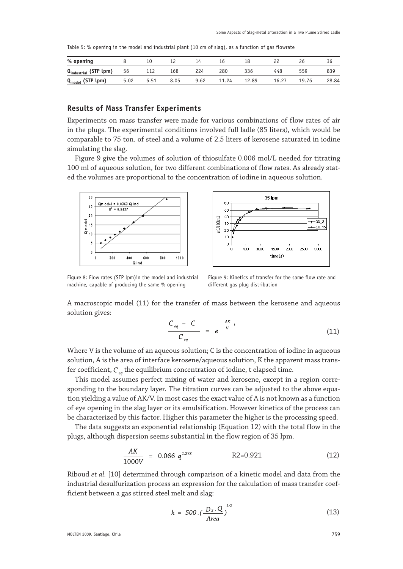Table 5: % opening in the model and industrial plant (10 cm of slag), as a function of gas flowrate

| % opening                      |      |      |      | 14   |       | 18    |       |       | 50    |
|--------------------------------|------|------|------|------|-------|-------|-------|-------|-------|
| $Q_{industrial}$ (STP $lpm)$ ) | 56   | 112  | 168  | 224  | 280   | 336   | 448   | 559   | 839   |
| $Q_{model}$ (STP lpm)          | 5.02 | 6.51 | 8.05 | 9.62 | 11.24 | 12.89 | 16.27 | 19.76 | 28.84 |

#### **Results of Mass Transfer Experiments**

Experiments on mass transfer were made for various combinations of flow rates of air in the plugs. The experimental conditions involved full ladle (85 liters), which would be comparable to 75 ton. of steel and a volume of 2.5 liters of kerosene saturated in iodine simulating the slag.

Figure 9 give the volumes of solution of thiosulfate 0.006 mol/L needed for titrating 100 ml of aqueous solution, for two different combinations of flow rates. As already stated the volumes are proportional to the concentration of iodine in aqueous solution.





Figure 8: Flow rates (STP lpm)in the model and industrial machine, capable of producing the same % opening

 Figure 9: Kinetics of transfer for the same flow rate and different gas plug distribution

A macroscopic model (11) for the transfer of mass between the kerosene and aqueous solution gives:

$$
\frac{C_{eq} - C}{C_{eq}} = e^{-\frac{AK}{V}t}
$$
 (11)

Where V is the volume of an aqueous solution; C is the concentration of iodine in aqueous solution, A is the area of interface kerosene/aqueous solution, K the apparent mass transfer coefficient,  $C_{\alpha}$  the equilibrium concentration of iodine, t elapsed time.

This model assumes perfect mixing of water and kerosene, except in a region corresponding to the boundary layer. The titration curves can be adjusted to the above equation yielding a value of AK/V. In most cases the exact value of A is not known as a function of eye opening in the slag layer or its emulsification. However kinetics of the process can be characterized by this factor. Higher this parameter the higher is the processing speed.

The data suggests an exponential relationship (Equation 12) with the total flow in the plugs, although dispersion seems substantial in the flow region of 35 lpm.

$$
\frac{AK}{1000V} = 0.066 \ q^{1.278} \qquad \qquad R2 = 0.921 \tag{12}
$$

Riboud *et al.* [10] determined through comparison of a kinetic model and data from the industrial desulfurization process an expression for the calculation of mass transfer coefficient between a gas stirred steel melt and slag:

$$
k = 500 \cdot \left(\frac{D_s \cdot Q}{Area}\right)^{1/2} \tag{13}
$$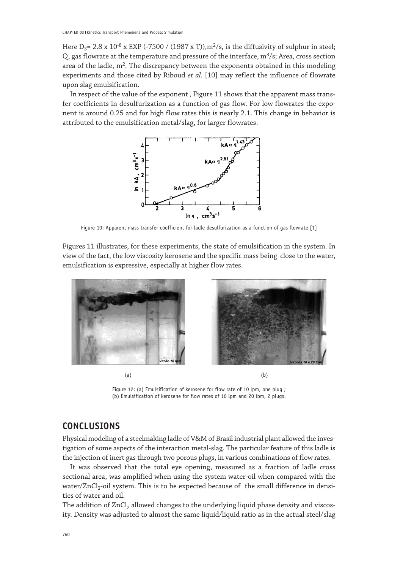Here  $D_s$  = 2.8 x 10<sup>-8</sup> x EXP (-7500 / (1987 x T)),m<sup>2</sup>/s, is the diffusivity of sulphur in steel; Q, gas flowrate at the temperature and pressure of the interface,  $m^3/s$ ; Area, cross section area of the ladle,  $m^2$ . The discrepancy between the exponents obtained in this modeling experiments and those cited by Riboud *et al.* [10] may reflect the influence of flowrate upon slag emulsification.

In respect of the value of the exponent , Figure 11 shows that the apparent mass transfer coefficients in desulfurization as a function of gas flow. For low flowrates the exponent is around 0.25 and for high flow rates this is nearly 2.1. This change in behavior is attributed to the emulsification metal/slag, for larger flowrates.



Figure 10: Apparent mass transfer coefficient for ladle desulfurization as a function of gas flowrate [1]

Figures 11 illustrates, for these experiments, the state of emulsification in the system. In view of the fact, the low viscosity kerosene and the specific mass being close to the water, emulsification is expressive, especially at higher flow rates.



 $(a)$  (b)

Figure 12: (a) Emulsification of kerosene for flow rate of 10 lpm, one plug ; (b) Emulsification of kerosene for flow rates of 10 lpm and 20 lpm, 2 plugs.

# **CONCLUSIONS**

Physical modeling of a steelmaking ladle of V&M of Brasil industrial plant allowed the investigation of some aspects of the interaction metal-slag. The particular feature of this ladle is the injection of inert gas through two porous plugs, in various combinations of flow rates.

It was observed that the total eye opening, measured as a fraction of ladle cross sectional area, was amplified when using the system water-oil when compared with the water/ZnCl<sub>2</sub>-oil system. This is to be expected because of the small difference in densities of water and oil.

The addition of ZnCl<sub>2</sub> allowed changes to the underlying liquid phase density and viscosity. Density was adjusted to almost the same liquid/liquid ratio as in the actual steel/slag